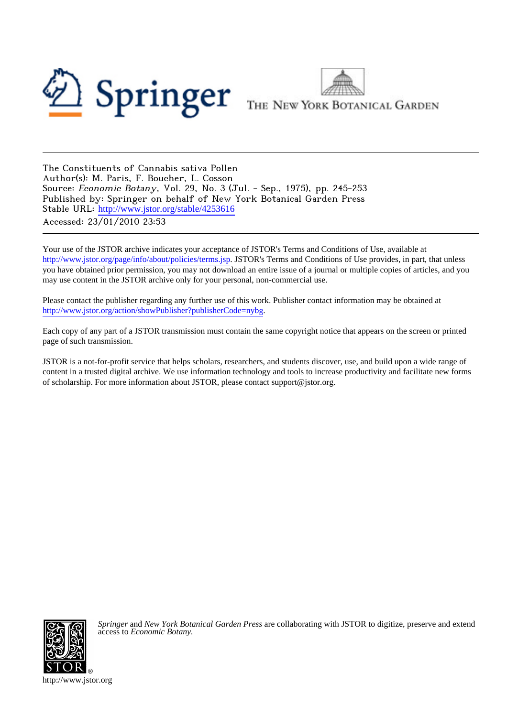



The Constituents of Cannabis sativa Pollen Author(s): M. Paris, F. Boucher, L. Cosson Source: Economic Botany, Vol. 29, No. 3 (Jul. - Sep., 1975), pp. 245-253 Published by: Springer on behalf of New York Botanical Garden Press Stable URL: [http://www.jstor.org/stable/4253616](http://www.jstor.org/stable/4253616?origin=JSTOR-pdf) Accessed: 23/01/2010 23:53

Your use of the JSTOR archive indicates your acceptance of JSTOR's Terms and Conditions of Use, available at <http://www.jstor.org/page/info/about/policies/terms.jsp>. JSTOR's Terms and Conditions of Use provides, in part, that unless you have obtained prior permission, you may not download an entire issue of a journal or multiple copies of articles, and you may use content in the JSTOR archive only for your personal, non-commercial use.

Please contact the publisher regarding any further use of this work. Publisher contact information may be obtained at [http://www.jstor.org/action/showPublisher?publisherCode=nybg.](http://www.jstor.org/action/showPublisher?publisherCode=nybg)

Each copy of any part of a JSTOR transmission must contain the same copyright notice that appears on the screen or printed page of such transmission.

JSTOR is a not-for-profit service that helps scholars, researchers, and students discover, use, and build upon a wide range of content in a trusted digital archive. We use information technology and tools to increase productivity and facilitate new forms of scholarship. For more information about JSTOR, please contact support@jstor.org.



*Springer* and *New York Botanical Garden Press* are collaborating with JSTOR to digitize, preserve and extend access to *Economic Botany.*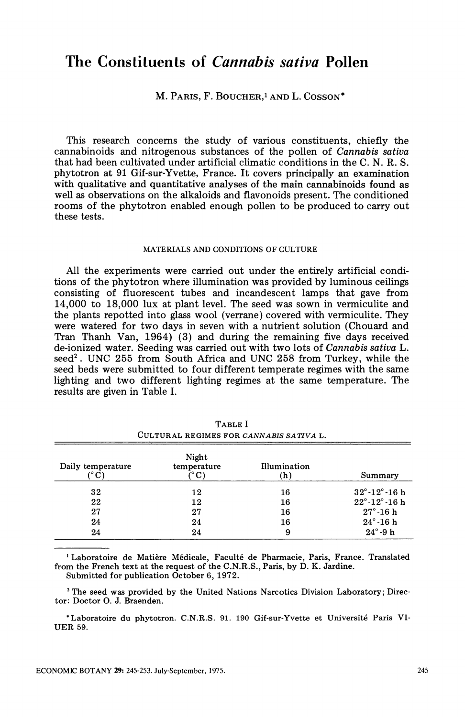# **The Constituents of Cannabis sativa Pollen**

**M. PARIS, F. BOUCHER,l AND L. COSSON\*** 

**This research concerns the study of various constituents, chiefly the cannabinoids and nitrogenous substances of the pollen of Cannabis sativa that had been cultivated under artificial climatic conditions in the C. N. R. S. phytotron at 91 Gif-sur-Yvette, France. It covers principally an examination with qualitative and quantitative analyses of the main cannabinoids found as well as observations on the alkaloids and flavonoids present. The conditioned rooms of the phytotron enabled enough pollen to be produced to carry out these tests.** 

## **MATERIALS AND CONDITIONS OF CULTURE**

**All the experiments were carried out under the entirely artificial conditions of the phytotron where illumination was provided by luminous ceilings consisting of fluorescent tubes and incandescent lamps that gave from 14,000 to 18,000 lux at plant level. The seed was sown in vermiculite and the plants repotted into glass wool (verrane) covered with vermiculite. They were watered for two days in seven with a nutrient solution (Chouard and Tran Thanh Van, 1964) (3) and during the remaining five days received de-ionized water. Seeding was carried out with two lots of Cannabis sativa L. seed2. UNC 255 from South Africa and UNC 258 from Turkey, while the seed beds were submitted to four different temperate regimes with the same lighting and two different lighting regimes at the same temperature. The results are given in Table I.** 

| Daily temperature<br>(° C) | Night<br>temperature<br>(°C) | Illumination<br>(h) | Summary                           |
|----------------------------|------------------------------|---------------------|-----------------------------------|
| 32                         | 12                           | 16                  | $32^{\circ}$ -12 $^{\circ}$ -16 h |
| 22                         | 12                           | 16                  | $22^{\circ}$ -12 $^{\circ}$ -16 h |
| 27                         | 27                           | 16                  | $27^\circ$ -16 h                  |
| 24                         | 24                           | 16                  | $24^{\circ}$ 16 h                 |
| 24                         | 24                           | 9                   | $24^\circ$ -9 h                   |

**TABLE I CULTURAL REGIMES FOR CANNABIS SATIVA L.** 

**'Laboratoire de Matiere Medicale, Facult6 de Pharmacie, Paris, France. Translated from the French text at the request of the C.N.R.S., Paris, by D. K. Jardine. Submitted for publication October 6, 1972.** 

**2 The seed was provided by the United Nations Narcotics Division Laboratory; Director: Doctor 0. J. Braenden.** 

**\* Laboratoire du phytotron. C.N.R.S. 91. 190 Gif-sur-Yvette et Universite Paris VI-UER 59.**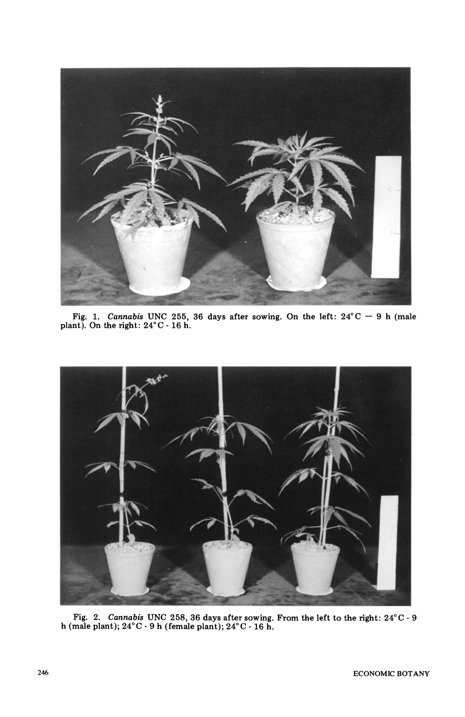

Fig. 1. *Cannabis* UNC 255, 36 days after sowing. On the left:  $24^{\circ}$ C  $-$  9 h (male plant). On the right:  $24^{\circ}$ C  $-$  16 h.



Fig. 2. Cannabis UNC 258, 36 days after sowing. From the left to the right:  $24^{\circ}$ C  $-$  9 **h** (male plant); 24°C - 9 h (female plant); 24°C - 16 h.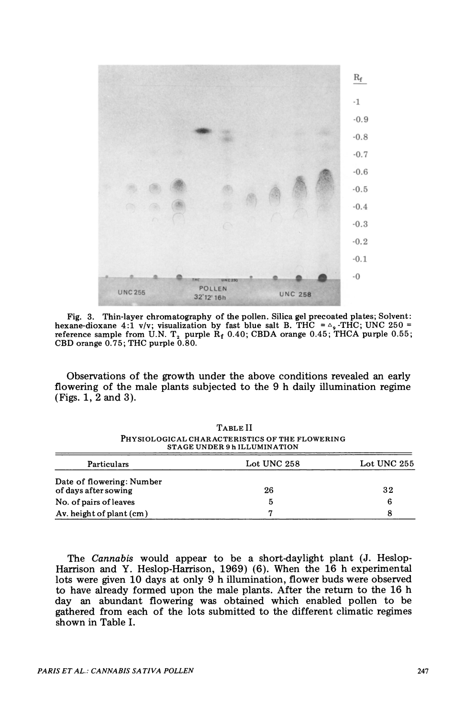

**Fig. 3. Thin-layer chromatography of the pollen. Silica gel precoated plates; Solvent:**<br>**hexane-dioxane 4:1 v/v; visualization by fast blue salt B. THC =**  $\triangle$ **<sub>9</sub> -THC; UNC 250 = reference sample from U.N. T, purple Rf 0.40; CBDA orange 0.45; THCA purple 0.55; CBD orange 0.75; THC purple 0.80.** 

**Observations of the growth under the above conditions revealed an early flowering of the male plants subjected to the 9 h daily illumination regime (Figs. 1, 2 and 3).** 

|                                                   | <b>STAGE UNDER 9 h ILLUMINATION</b> |             |
|---------------------------------------------------|-------------------------------------|-------------|
| Particulars                                       | Lot UNC 258                         | Lot UNC 255 |
| Date of flowering: Number<br>of days after sowing | 26                                  | 32          |
| No. of pairs of leaves                            | 5                                   | 6           |
| Av. height of plant (cm)                          |                                     | 8           |

**TABLE II PHYSIOLOGICAL CHARACTERISTICS OF THE FLOWERING STAGE UNDER 9 h ILLUMINATION** 

**The Cannabis would appear to be a short-daylight plant (J. Heslop-Harrison and Y. Heslop-Harrison, 1969) (6). When the 16 h experimental lots were given 10 days at only 9 h illumination, flower buds were observed to have already formed upon the male plants. After the return to the 16 h day an abundant flowering was obtained which enabled pollen to be gathered from each of the lots submitted to the different climatic regimes shown in Table I.**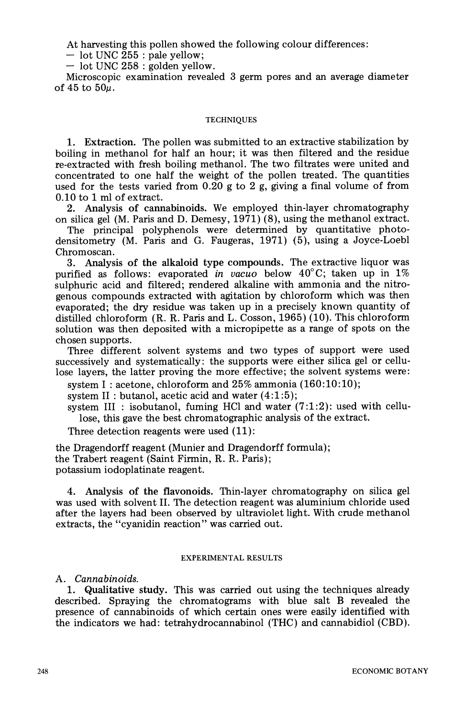**At harvesting this pollen showed the following colour differences:** 

**- lot UNC 255 : pale yellow;** 

**- lot UNC 258 : golden yellow.** 

**Microscopic examination revealed 3 germ pores and an average diameter**  of 45 to  $50\mu$ .

## **TECHNIQUES**

**1. Extraction. The pollen was submitted to an extractive stabilization by boiling in methanol for half an hour; it was then filtered and the residue re-extracted with fresh boiling methanol. The two filtrates were united and concentrated to one half the weight of the pollen treated. The quantities used for the tests varied from 0.20 g to 2 g, giving a final volume of from 0.10 to 1 ml of extract.** 

**2. Analysis of cannabinoids. We employed thin-layer chromatography on silica gel (M. Paris and D. Demesy, 1971) (8), using the methanol extract.** 

**The principal polyphenols were determined by quantitative photodensitometry (M. Paris and G. Faugeras, 1971) (5), using a Joyce-Loebl Chromoscan.** 

**3. Analysis of the alkaloid type compounds. The extractive liquor was purified as follows: evaporated in vacuo below 40?C; taken up in 1% sulphuric acid and filtered; rendered alkaline with ammonia and the nitrogenous compounds extracted with agitation by chloroform which was then evaporated; the dry residue was taken up in a precisely known quantity of distilled chloroform (R. R. Paris and L. Cosson, 1965) (10). This chloroform solution was then deposited with a micropipette as a range of spots on the chosen supports.** 

**Three different solvent systems and two types of support were used successively and systematically: the supports were either silica gel or cellulose layers, the latter proving the more effective; the solvent systems were:** 

**system I: acetone, chloroform and 25% ammonia (160:10:10);** 

**system II: butanol, acetic acid and water (4:1:5);** 

**system III : isobutanol, fuming HCl and water (7:1:2): used with cellulose, this gave the best chromatographic analysis of the extract.** 

**Three detection reagents were used (11):** 

**the Dragendorff reagent (Munier and Dragendorff formula); the Trabert reagent (Saint Firmin, R. R. Paris); potassium iodoplatinate reagent.** 

**4. Analysis of the flavonoids. Thin-layer chromatography on silica gel was used with solvent II. The detection reagent was aluminium chloride used after the layers had been observed by ultraviolet light. With crude methanol extracts, the "cyanidin reaction" was carried out.** 

# **EXPERIMENTAL RESULTS**

# **A. Cannabinoids.**

**1. Qualitative study. This was carried out using the techniques already described. Spraying the chromatograms with blue salt B revealed the presence of cannabinoids of which certain ones were easily identified with the indicators we had: tetrahydrocannabinol (THC) and cannabidiol (CBD).**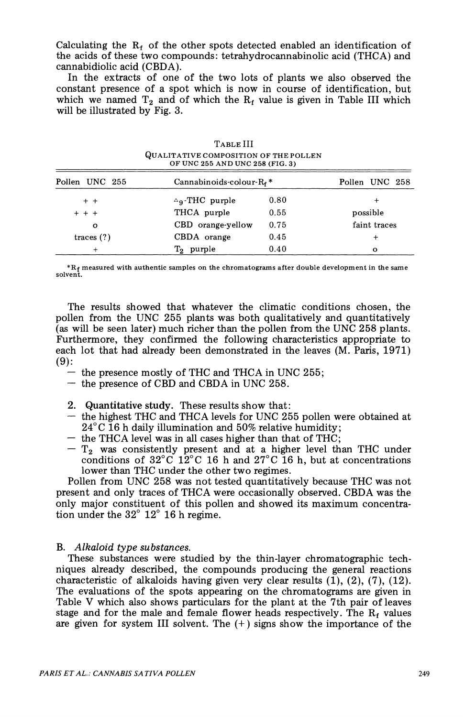Calculating the  $R_f$  of the other spots detected enabled an identification of **the acids of these two compounds: tetrahydrocannabinolic acid (THCA) and cannabidiolic acid (CBDA).** 

**In the extracts of one of the two lots of plants we also observed the constant presence of a spot which is now in course of identification, but**  which we named  $T_2$  and of which the  $R_f$  value is given in Table III which **will be illustrated by Fig. 3.** 

|                | TABLE III<br>QUALITATIVE COMPOSITION OF THE POLLEN<br>OF UNC 255 AND UNC 258 (FIG. 3) |      |                |
|----------------|---------------------------------------------------------------------------------------|------|----------------|
| Pollen UNC 255 | Cannabinoids-colour- $R_f$ *                                                          |      | Pollen UNC 258 |
| $+$ +          | $\Delta$ <sub>9</sub> -THC purple                                                     | 0.80 | ٠              |
| $+ + +$        | THCA purple                                                                           | 0.55 | possible       |
| $\mathbf o$    | CBD orange-yellow                                                                     | 0.75 | faint traces   |
| traces $(?)$   | CBDA orange                                                                           | 0.45 |                |
|                | $T_2$ purple                                                                          | 0.40 | o              |

**\*Rf measured with authentic samples on the chromatograms after double development in the same solvent.** 

**The results showed that whatever the climatic conditions chosen, the pollen from the UNC 255 plants was both qualitatively and quantitatively (as will be seen later) much richer than the pollen from the UNC 258 plants. Furthermore, they confirmed the following characteristics appropriate to each lot that had already been demonstrated in the leaves (M. Paris, 1971) (9):** 

- **the presence mostly of THC and THCA in UNC 255;**
- **the presence of CBD and CBDA in UNC 258.**
- **2. Quantitative study. These results show that:**
- **the highest THC and THCA levels for UNC 255 pollen were obtained at 240C 16 h daily illumination and 50% relative humidity;**
- **the THCA level was in all cases higher than that of THC;**
- **T2 was consistently present and at a higher level than THC under conditions of 32?C 12?C 16 h and 27?C 16 h, but at concentrations lower than THC under the other two regimes.**

**Pollen from UNC 258 was not tested quantitatively because THC was not present and only traces of THCA were occasionally observed. CBDA was the only major constituent of this pollen and showed its maximum concentra-** $\frac{1}{2}$  tion under the  $32^{\circ}$   $12^{\circ}$  16 h regime.

# **B. Alkaloid type substances.**

**These substances were studied by the thin-layer chromatographic techniques already described, the compounds producing the general reactions characteristic of alkaloids having given very clear results (1), (2), (7), (12). The evaluations of the spots appearing on the chromatograms are given in Table V which also shows particulars for the plant at the 7th pair of leaves**  stage and for the male and female flower heads respectively. The  $R_f$  values **are given for system III solvent. The (+) signs show the importance of the**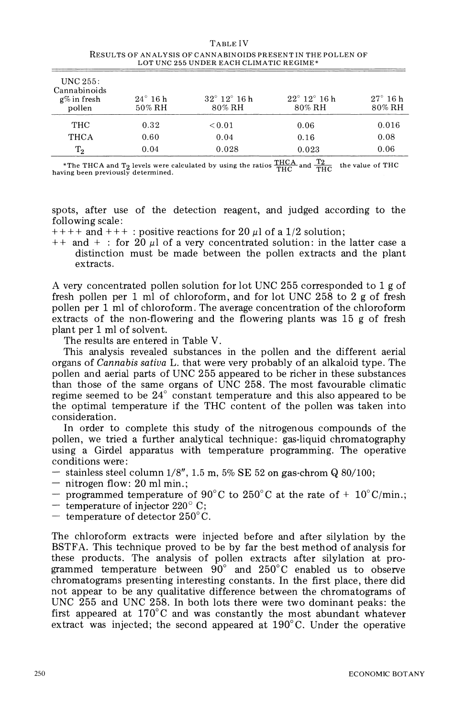|                                                         |                             | ilisulis or analisis or cannalinoidelilisen i in illet oliben or<br>LOT UNC 255 UNDER EACH CLIMATIC REGIME* |                                           |                              |
|---------------------------------------------------------|-----------------------------|-------------------------------------------------------------------------------------------------------------|-------------------------------------------|------------------------------|
| UNC $255$ :<br>Cannabinoids<br>$g\%$ in fresh<br>pollen | $24^{\circ}$ 16 h<br>50% RH | $32^{\circ}$ 12 $^{\circ}$ 16 h<br>$80\%$ RH                                                                | $22^{\circ}$ 12 $^{\circ}$ 16 h<br>80% RH | $27^\circ$ 16 h<br>$80\%$ RH |
| THC                                                     | 0.32                        | ${}_{0.01}$                                                                                                 | 0.06                                      | 0.016                        |
| THCA                                                    | 0.60                        | 0.04                                                                                                        | 0.16                                      | 0.08                         |
| $T_2$                                                   | 0.04                        | 0.028                                                                                                       | 0.023                                     | 0.06                         |

**TABLE IV RESULTS OF ANALYSIS OF CANNABINOIDS PRESENT IN THE POLLEN OF** 

\*The THCA and T<sub>2</sub> levels were calculated by using the ratios  $\frac{\text{THCA}}{\text{THC}}$  and  $\frac{12}{\text{THC}}$  the value of THC having been previously determined.

**spots, after use of the detection reagent, and judged according to the following scale:** 

 $++++$  **and**  $++$  : positive reactions for 20  $\mu$ l of a 1/2 solution;

 $++$  and  $+$ : for 20  $\mu$ l of a very concentrated solution: in the latter case a **distinction must be made between the pollen extracts and the plant extracts.** 

**A very concentrated pollen solution for lot UNC 255 corresponded to 1 g of fresh pollen per 1 ml of chloroform, and for lot UNC 258 to 2 g of fresh pollen per 1 ml of chloroform. The average concentration of the chloroform extracts of the non-flowering and the flowering plants was 15 g of fresh plant per 1 ml of solvent.** 

**The results are entered in Table V.** 

**This analysis revealed substances in the pollen and the different aerial organs of Cannabis sativa L. that were very probably of an alkaloid type. The pollen and aerial parts of UNC 255 appeared to be richer in these substances than those of the same organs of UNC 258. The most favourable climatic**  regime seemed to be 24<sup>°</sup> constant temperature and this also appeared to be **the optimal temperature if the THC content of the pollen was taken into consideration.** 

**In order to complete this study of the nitrogenous compounds of the pollen, we tried a further analytical technique: gas-liquid chromatography using a Girdel apparatus with temperature programming. The operative conditions were:** 

- **stainless steel column 1/8", 1.5 m, 5% SE 52 on gas-chrom Q 80/100;**
- **nitrogen flow: 20 ml min.;**
- programmed temperature of 90<sup>°</sup>C to 250<sup>°</sup>C at the rate of + 10<sup>°</sup>C/min.;
- $-$  temperature of injector 220 $^{\circ}$  C;
- $-$  temperature of detector  $250^{\circ}$ C.

**The chloroform extracts were injected before and after silylation by the BSTFA. This technique proved to be by far the best method of analysis for these products. The analysis of pollen extracts after silylation at pro**grammed temperature between 90° and 250°C enabled us to observe **chromatograms presenting interesting constants. In the first place, there did not appear to be any qualitative difference between the chromatograms of UNC 255 and UNC 258. In both lots there were two dominant peaks: the**  first appeared at  $170^{\circ}$ C and was constantly the most abundant whatever **extract was injected; the second appeared at 190?C. Under the operative**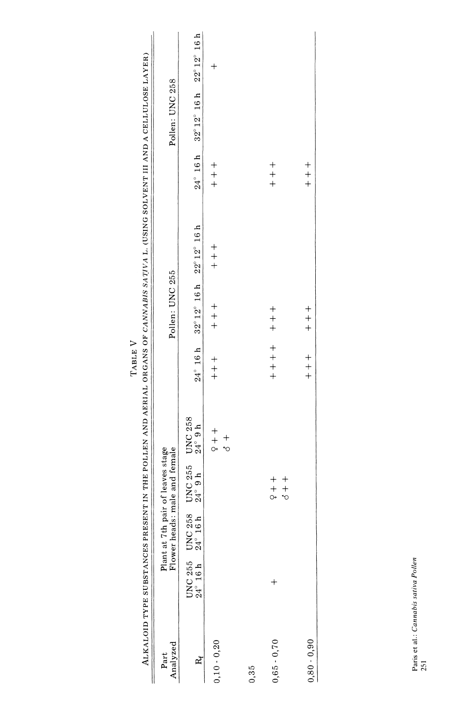| ALKALOID TYPE SUBSTANCES PRESENT IN THE     |                                                                          |                                                                                 |                                                                    |                           | TABLE ${\bf V}$   |                           | POLLEN AND AERIAL ORGANS OF CANVABIS SATIVA L. (USING SOLVENT III AND A CELLULOSE LAYER) |                   |                       |                                          |  |
|---------------------------------------------|--------------------------------------------------------------------------|---------------------------------------------------------------------------------|--------------------------------------------------------------------|---------------------------|-------------------|---------------------------|------------------------------------------------------------------------------------------|-------------------|-----------------------|------------------------------------------|--|
| Analyzed<br>Part                            |                                                                          |                                                                                 | Plant at 7th pair of leaves stage<br>Flower heads: male and female |                           |                   | Pollen: UNC 255           |                                                                                          |                   | Pollen: UNC 258       |                                          |  |
| $\mathbf{p}_t^{\star}$                      | $\begin{array}{c} \text{UNC 255} \\ 24^\circ\ 16 \ \text{h} \end{array}$ | $\begin{array}{c} \text{UNC 258} \\ \text{24}^{\circ} \text{ 16 h} \end{array}$ | UNC 255<br>$24^\circ$ 9 h                                          | UNC 258<br>$24^\circ$ 9 h | $24^{\circ}$ 16 h | $32^{\circ}12^{\circ}16h$ | $22^{\circ}$ $12^{\circ}$ $16$ ${\rm h}$                                                 | $24^{\circ}$ 16 h | $32^{\circ}$ 12° 16 h | $22^{\circ}$ $12^{\circ}$ $16$ ${\rm h}$ |  |
| $0,10 - 0,20$                               |                                                                          |                                                                                 |                                                                    | $+$ $+$<br>$+\n0$         | $+$ $+$           | $+$ $+$                   | $+$ $+$                                                                                  | $+$ $+$           |                       |                                          |  |
| 0,35                                        |                                                                          |                                                                                 |                                                                    |                           |                   |                           |                                                                                          |                   |                       |                                          |  |
| $+$<br>$0,65 - 0,70$                        |                                                                          |                                                                                 | $\begin{array}{c} + \\ + \\ + \\ + \\ \nabla \end{array}$          |                           | $+ + +$           | $+$<br>$+$<br>$+$         |                                                                                          | $+$<br>$+$<br>$+$ |                       |                                          |  |
| $0,80 - 0,90$                               |                                                                          |                                                                                 |                                                                    |                           | $+$ $+$           | $+$ $+$ $+$               |                                                                                          | $+$ $+$           |                       |                                          |  |
| Paris et al.: Cannabis sativa Pollen<br>251 |                                                                          |                                                                                 |                                                                    |                           |                   |                           |                                                                                          |                   |                       |                                          |  |
|                                             |                                                                          |                                                                                 |                                                                    |                           |                   |                           |                                                                                          |                   |                       |                                          |  |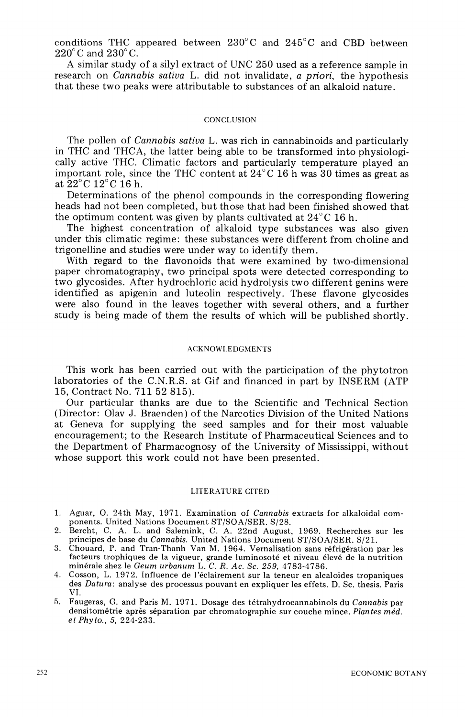**conditions THC appeared between 230?C and 245?C and CBD between**   $220^{\circ}$ C and  $230^{\circ}$ C.

**A similar study of a silyl extract of UNC 250 used as a reference sample in research on Cannabis sativa L. did not invalidate, a priori, the hypothesis that these two peaks were attributable to substances of an alkaloid nature.** 

### **CONCLUSION**

**The pollen of Cannabis sativa L. was rich in cannabinoids and particularly in THC and THCA, the latter being able to be transformed into physiologically active THC. Climatic factors and particularly temperature played an important role, since the THC content at 24?C 16 h was 30 times as great as**  at  $22^{\circ}$ C 12<sup>°</sup>C 16 h.

**Determinations of the phenol compounds in the corresponding flowering heads had not been completed, but those that had been finished showed that**  the optimum content was given by plants cultivated at  $24^{\circ}$ C 16 h.

**The highest concentration of alkaloid type substances was also given under this climatic regime: these substances were different from choline and trigonelline and studies were under way to identify them.** 

**With regard to the flavonoids that were examined by two-dimensional paper chromatography, two principal spots were detected corresponding to two glycosides. After hydrochloric acid hydrolysis two different genins were identified as apigenin and luteolin respectively. These flavone glycosides were also found in the leaves together with several others, and a further study is being made of them the results of which will be published shortly.** 

#### **ACKNOWLEDGMENTS**

**This work has been carried out with the participation of the phytotron laboratories of the C.N.R.S. at Gif and financed in part by INSERM (ATP 15, Contract No. 711 52 815).** 

**Our particular thanks are due to the Scientific and Technical Section (Director: Olav J. Braenden) of the Narcotics Division of the United Nations at Geneva for supplying the seed samples and for their most valuable encouragement; to the Research Institute of Pharmaceutical Sciences and to the Department of Pharmacognosy of the University of Mississippi, without whose support this work could not have been presented.** 

# **LITERATURE CITED**

- **1. Aguar, 0. 24th May, 1971. Examination of Cannabis extracts for alkaloidal components. United Nations Document ST/SOA/SER. S/28.**
- **2. Bercht, C. A. L. and Salemink, C. A. 22nd August, 1969. Recherches sur les principes de base du Cannabis. United Nations Document ST/SOA/SER. S/21.**
- **3. Chouard, P. and Tran-Thanh Van M. 1964. Vernalisation sans refrig6ration par les**  facteurs trophiques de la vigueur, grande luminosoté et niveau élevé de la nutrition **min6rale shez le Geum urbanum L. C. R. Ac. Sc. 259, 4783-4786.**
- **4. Cosson, L. 1972. Influence de 1'eclairement sur la teneur en alcaloides tropaniques des Datura: analyse des processus pouvant en expliquer les effets. D. Sc. thesis. Paris VI.**
- **5. Faugeras, G. and Paris M. 1971. Dosage des t6trahydrocannabinols du Cannabis par densitometrie apres separation par chromatographie sur couche mince. Plantes med. etPhyto., 5, 224-233.**